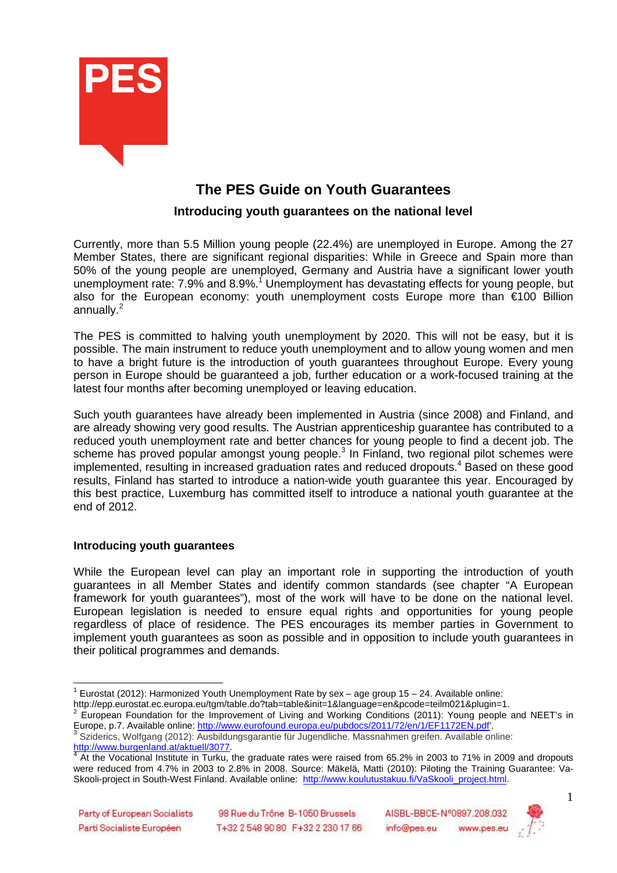

# **The PES Guide on Youth Guarantees**

## **Introducing youth guarantees on the national level**

Currently, more than 5.5 Million young people (22.4%) are unemployed in Europe. Among the 27 Member States, there are significant regional disparities: While in Greece and Spain more than 50% of the young people are unemployed, Germany and Austria have a significant lower youth unemployment rate: 7.9% and 8.9%.<sup>1</sup> Unemployment has devastating effects for young people, but also for the European economy: youth unemployment costs Europe more than €100 Billion annually. $^2$ 

The PES is committed to halving youth unemployment by 2020. This will not be easy, but it is possible. The main instrument to reduce youth unemployment and to allow young women and men to have a bright future is the introduction of youth guarantees throughout Europe. Every young person in Europe should be guaranteed a job, further education or a work-focused training at the latest four months after becoming unemployed or leaving education.

Such youth guarantees have already been implemented in Austria (since 2008) and Finland, and are already showing very good results. The Austrian apprenticeship guarantee has contributed to a reduced youth unemployment rate and better chances for young people to find a decent job. The scheme has proved popular amongst young people.<sup>3</sup> In Finland, two regional pilot schemes were implemented, resulting in increased graduation rates and reduced dropouts.<sup>4</sup> Based on these good results, Finland has started to introduce a nation-wide youth guarantee this year. Encouraged by this best practice, Luxemburg has committed itself to introduce a national youth guarantee at the end of 2012.

## **Introducing youth guarantees**

While the European level can play an important role in supporting the introduction of youth guarantees in all Member States and identify common standards (see chapter "A European framework for youth guarantees"), most of the work will have to be done on the national level. European legislation is needed to ensure equal rights and opportunities for young people regardless of place of residence. The PES encourages its member parties in Government to implement youth guarantees as soon as possible and in opposition to include youth guarantees in their political programmes and demands.

http://epp.eurostat.ec.europa.eu/tgm/table.do?tab=table&init=1&language=en&pcode=teilm021&plugin=1.<br><sup>2</sup> European Foundation for the Improvement of Living and Werking Conditions (2011): Young neaple



 1 Eurostat (2012): Harmonized Youth Unemployment Rate by sex – age group 15 – 24. Available online:

European Foundation for the Improvement of Living and Working Conditions (2011): Young people and NEET's in Europe, p.7. Available online: http://www.eurofound.europa.eu/pubdocs/2011/72/en/1/EF1172EN.pdf'.

<sup>&</sup>lt;sup>3</sup> Sziderics, Wolfgang (2012): Ausbildungsgarantie für Jugendliche. Massnahmen greifen. Available online: http://www.burgenland.at/aktuell/3077.

 $4$  At the Vocational Institute in Turku, the graduate rates were raised from 65.2% in 2003 to 71% in 2009 and dropouts were reduced from 4.7% in 2003 to 2.8% in 2008. Source: Mäkelä, Matti (2010): Piloting the Training Guarantee: Va-Skooli-project in South-West Finland. Available online: http://www.koulutustakuu.fi/VaSkooli\_project.html.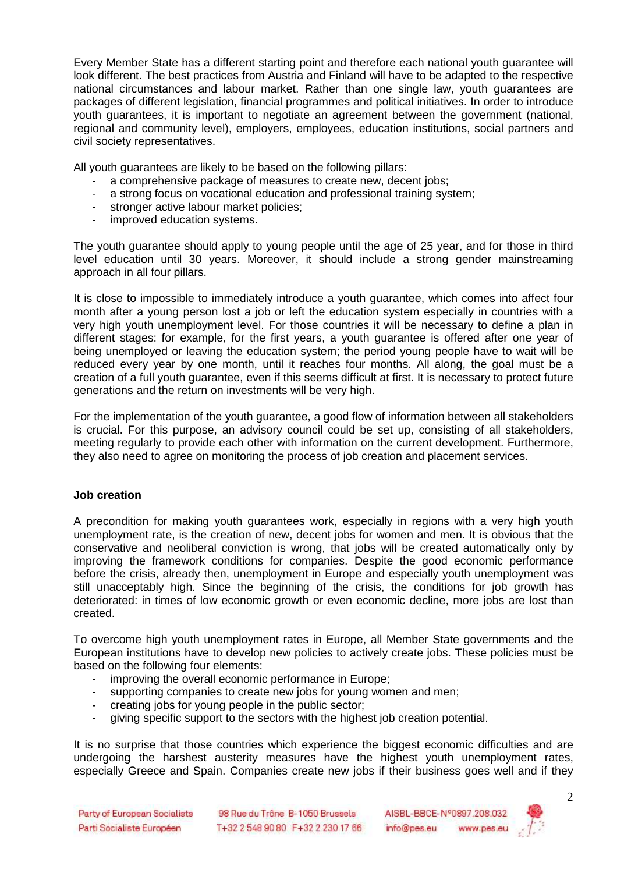Every Member State has a different starting point and therefore each national youth guarantee will look different. The best practices from Austria and Finland will have to be adapted to the respective national circumstances and labour market. Rather than one single law, youth guarantees are packages of different legislation, financial programmes and political initiatives. In order to introduce youth guarantees, it is important to negotiate an agreement between the government (national, regional and community level), employers, employees, education institutions, social partners and civil society representatives.

All youth guarantees are likely to be based on the following pillars:

- a comprehensive package of measures to create new, decent jobs;
- a strong focus on vocational education and professional training system;
- stronger active labour market policies;
- improved education systems.

The youth guarantee should apply to young people until the age of 25 year, and for those in third level education until 30 years. Moreover, it should include a strong gender mainstreaming approach in all four pillars.

It is close to impossible to immediately introduce a youth guarantee, which comes into affect four month after a young person lost a job or left the education system especially in countries with a very high youth unemployment level. For those countries it will be necessary to define a plan in different stages: for example, for the first years, a youth guarantee is offered after one year of being unemployed or leaving the education system; the period young people have to wait will be reduced every year by one month, until it reaches four months. All along, the goal must be a creation of a full youth guarantee, even if this seems difficult at first. It is necessary to protect future generations and the return on investments will be very high.

For the implementation of the youth guarantee, a good flow of information between all stakeholders is crucial. For this purpose, an advisory council could be set up, consisting of all stakeholders, meeting regularly to provide each other with information on the current development. Furthermore, they also need to agree on monitoring the process of job creation and placement services.

#### **Job creation**

A precondition for making youth guarantees work, especially in regions with a very high youth unemployment rate, is the creation of new, decent jobs for women and men. It is obvious that the conservative and neoliberal conviction is wrong, that jobs will be created automatically only by improving the framework conditions for companies. Despite the good economic performance before the crisis, already then, unemployment in Europe and especially youth unemployment was still unacceptably high. Since the beginning of the crisis, the conditions for job growth has deteriorated: in times of low economic growth or even economic decline, more jobs are lost than created.

To overcome high youth unemployment rates in Europe, all Member State governments and the European institutions have to develop new policies to actively create jobs. These policies must be based on the following four elements:

- improving the overall economic performance in Europe;
- supporting companies to create new jobs for young women and men;
- creating jobs for young people in the public sector;
- giving specific support to the sectors with the highest job creation potential.

It is no surprise that those countries which experience the biggest economic difficulties and are undergoing the harshest austerity measures have the highest youth unemployment rates, especially Greece and Spain. Companies create new jobs if their business goes well and if they

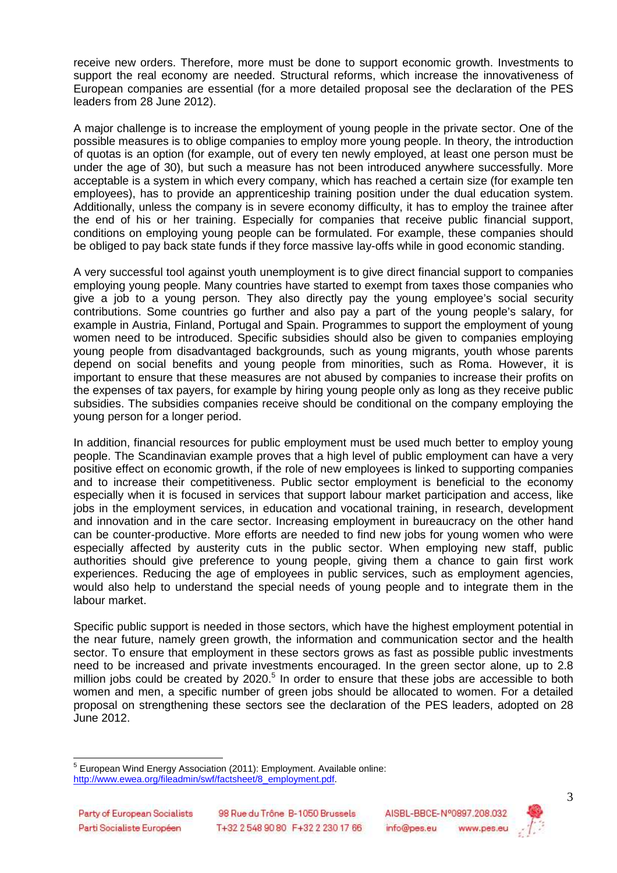receive new orders. Therefore, more must be done to support economic growth. Investments to support the real economy are needed. Structural reforms, which increase the innovativeness of European companies are essential (for a more detailed proposal see the declaration of the PES leaders from 28 June 2012).

A major challenge is to increase the employment of young people in the private sector. One of the possible measures is to oblige companies to employ more young people. In theory, the introduction of quotas is an option (for example, out of every ten newly employed, at least one person must be under the age of 30), but such a measure has not been introduced anywhere successfully. More acceptable is a system in which every company, which has reached a certain size (for example ten employees), has to provide an apprenticeship training position under the dual education system. Additionally, unless the company is in severe economy difficulty, it has to employ the trainee after the end of his or her training. Especially for companies that receive public financial support, conditions on employing young people can be formulated. For example, these companies should be obliged to pay back state funds if they force massive lay-offs while in good economic standing.

A very successful tool against youth unemployment is to give direct financial support to companies employing young people. Many countries have started to exempt from taxes those companies who give a job to a young person. They also directly pay the young employee's social security contributions. Some countries go further and also pay a part of the young people's salary, for example in Austria, Finland, Portugal and Spain. Programmes to support the employment of young women need to be introduced. Specific subsidies should also be given to companies employing young people from disadvantaged backgrounds, such as young migrants, youth whose parents depend on social benefits and young people from minorities, such as Roma. However, it is important to ensure that these measures are not abused by companies to increase their profits on the expenses of tax payers, for example by hiring young people only as long as they receive public subsidies. The subsidies companies receive should be conditional on the company employing the young person for a longer period.

In addition, financial resources for public employment must be used much better to employ young people. The Scandinavian example proves that a high level of public employment can have a very positive effect on economic growth, if the role of new employees is linked to supporting companies and to increase their competitiveness. Public sector employment is beneficial to the economy especially when it is focused in services that support labour market participation and access, like jobs in the employment services, in education and vocational training, in research, development and innovation and in the care sector. Increasing employment in bureaucracy on the other hand can be counter-productive. More efforts are needed to find new jobs for young women who were especially affected by austerity cuts in the public sector. When employing new staff, public authorities should give preference to young people, giving them a chance to gain first work experiences. Reducing the age of employees in public services, such as employment agencies, would also help to understand the special needs of young people and to integrate them in the labour market.

Specific public support is needed in those sectors, which have the highest employment potential in the near future, namely green growth, the information and communication sector and the health sector. To ensure that employment in these sectors grows as fast as possible public investments need to be increased and private investments encouraged. In the green sector alone, up to 2.8 million jobs could be created by  $2020$ .<sup>5</sup> In order to ensure that these jobs are accessible to both women and men, a specific number of green jobs should be allocated to women. For a detailed proposal on strengthening these sectors see the declaration of the PES leaders, adopted on 28 June 2012.



 <sup>5</sup> European Wind Energy Association (2011): Employment. Available online: http://www.ewea.org/fileadmin/swf/factsheet/8\_employment.pdf.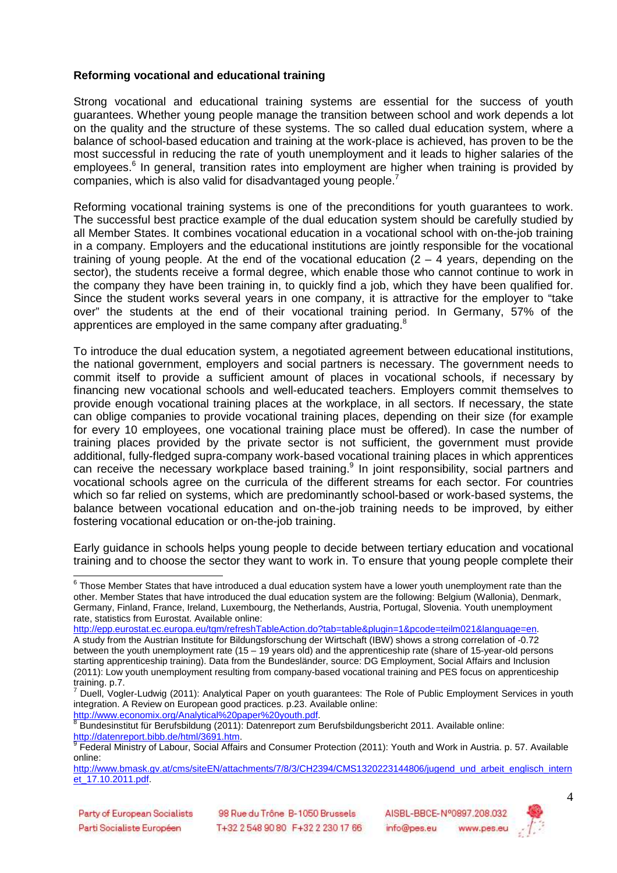#### **Reforming vocational and educational training**

Strong vocational and educational training systems are essential for the success of youth guarantees. Whether young people manage the transition between school and work depends a lot on the quality and the structure of these systems. The so called dual education system, where a balance of school-based education and training at the work-place is achieved, has proven to be the most successful in reducing the rate of youth unemployment and it leads to higher salaries of the employees.<sup>6</sup> In general, transition rates into employment are higher when training is provided by companies, which is also valid for disadvantaged young people.<sup>7</sup>

Reforming vocational training systems is one of the preconditions for youth guarantees to work. The successful best practice example of the dual education system should be carefully studied by all Member States. It combines vocational education in a vocational school with on-the-job training in a company. Employers and the educational institutions are jointly responsible for the vocational training of young people. At the end of the vocational education  $(2 - 4$  years, depending on the sector), the students receive a formal degree, which enable those who cannot continue to work in the company they have been training in, to quickly find a job, which they have been qualified for. Since the student works several years in one company, it is attractive for the employer to "take over" the students at the end of their vocational training period. In Germany, 57% of the apprentices are employed in the same company after graduating.<sup>8</sup>

To introduce the dual education system, a negotiated agreement between educational institutions, the national government, employers and social partners is necessary. The government needs to commit itself to provide a sufficient amount of places in vocational schools, if necessary by financing new vocational schools and well-educated teachers. Employers commit themselves to provide enough vocational training places at the workplace, in all sectors. If necessary, the state can oblige companies to provide vocational training places, depending on their size (for example for every 10 employees, one vocational training place must be offered). In case the number of training places provided by the private sector is not sufficient, the government must provide additional, fully-fledged supra-company work-based vocational training places in which apprentices can receive the necessary workplace based training.<sup>9</sup> In joint responsibility, social partners and vocational schools agree on the curricula of the different streams for each sector. For countries which so far relied on systems, which are predominantly school-based or work-based systems, the balance between vocational education and on-the-job training needs to be improved, by either fostering vocational education or on-the-job training.

Early guidance in schools helps young people to decide between tertiary education and vocational training and to choose the sector they want to work in. To ensure that young people complete their

http://epp.eurostat.ec.europa.eu/tgm/refreshTableAction.do?tab=table&plugin=1&pcode=teilm021&language=en. A study from the Austrian Institute for Bildungsforschung der Wirtschaft (IBW) shows a strong correlation of -0.72 between the youth unemployment rate (15 – 19 years old) and the apprenticeship rate (share of 15-year-old persons starting apprenticeship training). Data from the Bundesländer, source: DG Employment, Social Affairs and Inclusion (2011): Low youth unemployment resulting from company-based vocational training and PES focus on apprenticeship

<sup>8</sup> Bundesinstitut für Berufsbildung (2011): Datenreport zum Berufsbildungsbericht 2011. Available online: http://datenreport.bibb.de/html/3691.htm.



 6 Those Member States that have introduced a dual education system have a lower youth unemployment rate than the other. Member States that have introduced the dual education system are the following: Belgium (Wallonia), Denmark, Germany, Finland, France, Ireland, Luxembourg, the Netherlands, Austria, Portugal, Slovenia. Youth unemployment rate, statistics from Eurostat. Available online:

training. p.7.<br><sup>7</sup> Duall Vealt Duell, Vogler-Ludwig (2011): Analytical Paper on youth guarantees: The Role of Public Employment Services in youth integration. A Review on European good practices. p.23. Available online: http://www.economix.org/Analytical%20paper%20youth.pdf.

<sup>&</sup>lt;sup>9</sup> Federal Ministry of Labour, Social Affairs and Consumer Protection (2011): Youth and Work in Austria. p. 57. Available online:

http://www.bmask.gv.at/cms/siteEN/attachments/7/8/3/CH2394/CMS1320223144806/jugend\_und\_arbeit\_englisch\_intern et\_17.10.2011.pdf.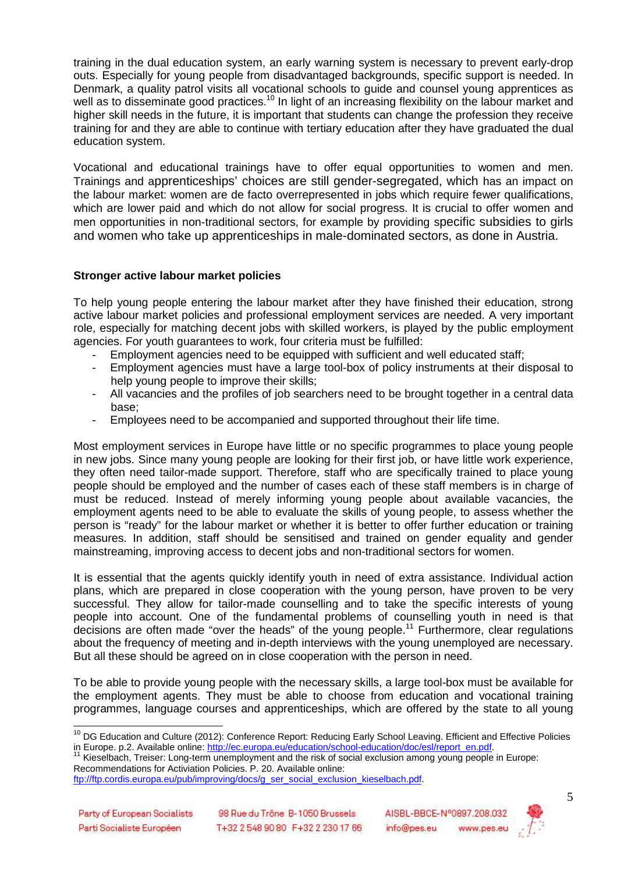training in the dual education system, an early warning system is necessary to prevent early-drop outs. Especially for young people from disadvantaged backgrounds, specific support is needed. In Denmark, a quality patrol visits all vocational schools to guide and counsel young apprentices as well as to disseminate good practices.<sup>10</sup> In light of an increasing flexibility on the labour market and higher skill needs in the future, it is important that students can change the profession they receive training for and they are able to continue with tertiary education after they have graduated the dual education system.

Vocational and educational trainings have to offer equal opportunities to women and men. Trainings and apprenticeships' choices are still gender-segregated, which has an impact on the labour market: women are de facto overrepresented in jobs which require fewer qualifications, which are lower paid and which do not allow for social progress. It is crucial to offer women and men opportunities in non-traditional sectors, for example by providing specific subsidies to girls and women who take up apprenticeships in male-dominated sectors, as done in Austria.

#### **Stronger active labour market policies**

To help young people entering the labour market after they have finished their education, strong active labour market policies and professional employment services are needed. A very important role, especially for matching decent jobs with skilled workers, is played by the public employment agencies. For youth guarantees to work, four criteria must be fulfilled:

- Employment agencies need to be equipped with sufficient and well educated staff;
- Employment agencies must have a large tool-box of policy instruments at their disposal to help young people to improve their skills:
- All vacancies and the profiles of job searchers need to be brought together in a central data base;
- Employees need to be accompanied and supported throughout their life time.

Most employment services in Europe have little or no specific programmes to place young people in new jobs. Since many young people are looking for their first job, or have little work experience, they often need tailor-made support. Therefore, staff who are specifically trained to place young people should be employed and the number of cases each of these staff members is in charge of must be reduced. Instead of merely informing young people about available vacancies, the employment agents need to be able to evaluate the skills of young people, to assess whether the person is "ready" for the labour market or whether it is better to offer further education or training measures. In addition, staff should be sensitised and trained on gender equality and gender mainstreaming, improving access to decent jobs and non-traditional sectors for women.

It is essential that the agents quickly identify youth in need of extra assistance. Individual action plans, which are prepared in close cooperation with the young person, have proven to be very successful. They allow for tailor-made counselling and to take the specific interests of young people into account. One of the fundamental problems of counselling youth in need is that decisions are often made "over the heads" of the young people.<sup>11</sup> Furthermore, clear regulations about the frequency of meeting and in-depth interviews with the young unemployed are necessary. But all these should be agreed on in close cooperation with the person in need.

To be able to provide young people with the necessary skills, a large tool-box must be available for the employment agents. They must be able to choose from education and vocational training programmes, language courses and apprenticeships, which are offered by the state to all young

Recommendations for Activiation Policies. P. 20. Available online:



<sup>&</sup>lt;sup>10</sup> DG Education and Culture (2012): Conference Report: Reducing Early School Leaving. Efficient and Effective Policies in Europe. p.2. Available online: http://ec.europa.eu/education/school-education/doc/esl/report\_en.pdf.

Kieselbach, Treiser: Long-term unemployment and the risk of social exclusion among young people in Europe:

ftp://ftp.cordis.europa.eu/pub/improving/docs/g\_ser\_social\_exclusion\_kieselbach.pdf.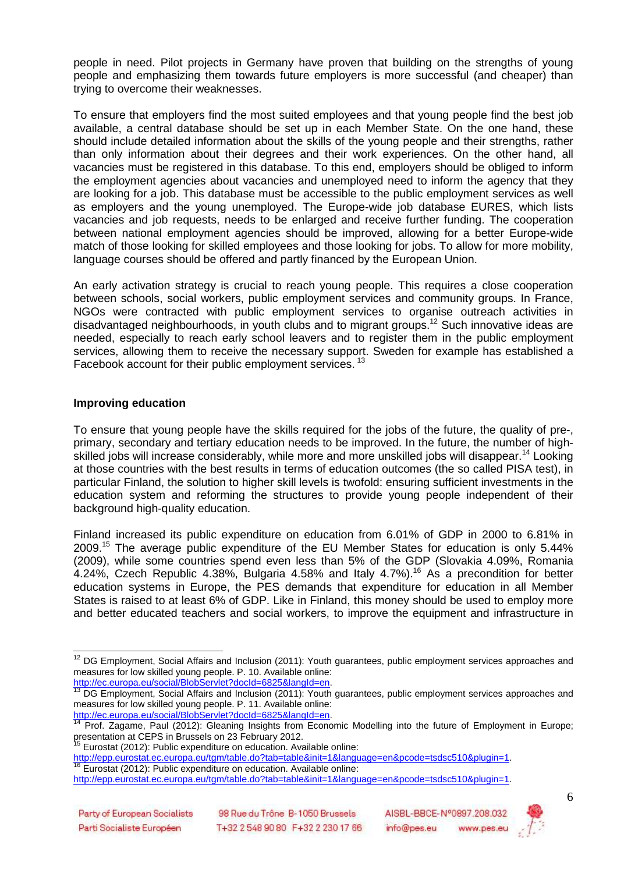people in need. Pilot projects in Germany have proven that building on the strengths of young people and emphasizing them towards future employers is more successful (and cheaper) than trying to overcome their weaknesses.

To ensure that employers find the most suited employees and that young people find the best job available, a central database should be set up in each Member State. On the one hand, these should include detailed information about the skills of the young people and their strengths, rather than only information about their degrees and their work experiences. On the other hand, all vacancies must be registered in this database. To this end, employers should be obliged to inform the employment agencies about vacancies and unemployed need to inform the agency that they are looking for a job. This database must be accessible to the public employment services as well as employers and the young unemployed. The Europe-wide job database EURES, which lists vacancies and job requests, needs to be enlarged and receive further funding. The cooperation between national employment agencies should be improved, allowing for a better Europe-wide match of those looking for skilled employees and those looking for jobs. To allow for more mobility, language courses should be offered and partly financed by the European Union.

An early activation strategy is crucial to reach young people. This requires a close cooperation between schools, social workers, public employment services and community groups. In France, NGOs were contracted with public employment services to organise outreach activities in disadvantaged neighbourhoods, in youth clubs and to migrant groups.<sup>12</sup> Such innovative ideas are needed, especially to reach early school leavers and to register them in the public employment services, allowing them to receive the necessary support. Sweden for example has established a Facebook account for their public employment services.<sup>13</sup>

#### **Improving education**

To ensure that young people have the skills required for the jobs of the future, the quality of pre-, primary, secondary and tertiary education needs to be improved. In the future, the number of highskilled jobs will increase considerably, while more and more unskilled jobs will disappear.<sup>14</sup> Looking at those countries with the best results in terms of education outcomes (the so called PISA test), in particular Finland, the solution to higher skill levels is twofold: ensuring sufficient investments in the education system and reforming the structures to provide young people independent of their background high-quality education.

Finland increased its public expenditure on education from 6.01% of GDP in 2000 to 6.81% in 2009.<sup>15</sup> The average public expenditure of the EU Member States for education is only 5.44% (2009), while some countries spend even less than 5% of the GDP (Slovakia 4.09%, Romania 4.24%, Czech Republic 4.38%, Bulgaria 4.58% and Italy 4.7%).<sup>16</sup> As a precondition for better education systems in Europe, the PES demands that expenditure for education in all Member States is raised to at least 6% of GDP. Like in Finland, this money should be used to employ more and better educated teachers and social workers, to improve the equipment and infrastructure in

<sup>16</sup> Eurostat (2012): Public expenditure on education. Available online:



  $12$  DG Employment, Social Affairs and Inclusion (2011): Youth guarantees, public employment services approaches and measures for low skilled young people. P. 10. Available online: http://ec.europa.eu/social/BlobServlet?docId=6825&langId=en.

<sup>13</sup> DG Employment, Social Affairs and Inclusion (2011): Youth guarantees, public employment services approaches and measures for low skilled young people. P. 11. Available online:

http://ec.europa.eu/social/BlobServlet?docId=6825&langId=en. Prof. Zagame, Paul (2012): Gleaning Insights from Economic Modelling into the future of Employment in Europe; presentation at CEPS in Brussels on 23 February 2012.

Eurostat (2012): Public expenditure on education. Available online:

http://epp.eurostat.ec.europa.eu/tgm/table.do?tab=table&init=1&language=en&pcode=tsdsc510&plugin=1.

http://epp.eurostat.ec.europa.eu/tgm/table.do?tab=table&init=1&language=en&pcode=tsdsc510&plugin=1.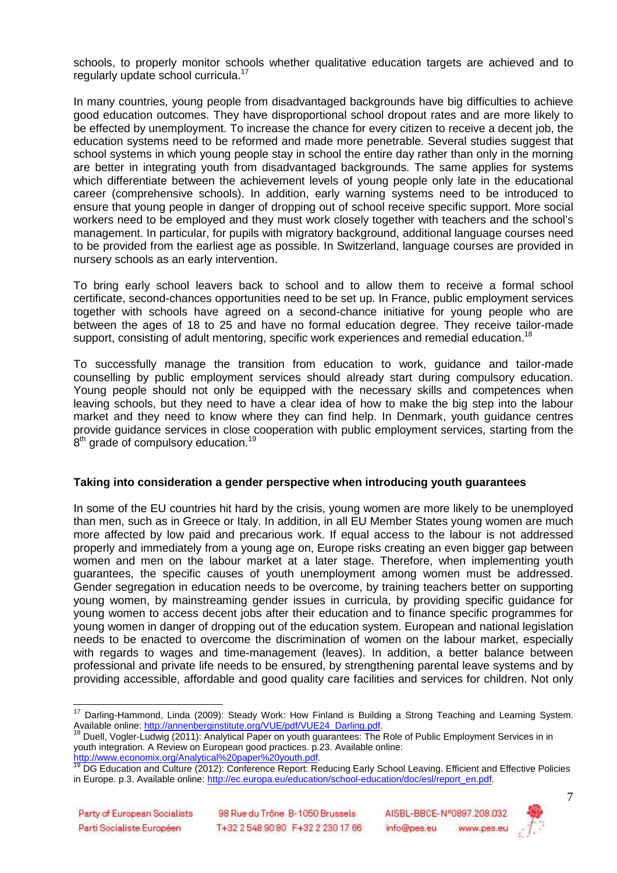schools, to properly monitor schools whether qualitative education targets are achieved and to regularly update school curricula.<sup>17</sup>

In many countries, young people from disadvantaged backgrounds have big difficulties to achieve good education outcomes. They have disproportional school dropout rates and are more likely to be effected by unemployment. To increase the chance for every citizen to receive a decent job, the education systems need to be reformed and made more penetrable. Several studies suggest that school systems in which young people stay in school the entire day rather than only in the morning are better in integrating youth from disadvantaged backgrounds. The same applies for systems which differentiate between the achievement levels of young people only late in the educational career (comprehensive schools). In addition, early warning systems need to be introduced to ensure that young people in danger of dropping out of school receive specific support. More social workers need to be employed and they must work closely together with teachers and the school's management. In particular, for pupils with migratory background, additional language courses need to be provided from the earliest age as possible. In Switzerland, language courses are provided in nursery schools as an early intervention.

To bring early school leavers back to school and to allow them to receive a formal school certificate, second-chances opportunities need to be set up. In France, public employment services together with schools have agreed on a second-chance initiative for young people who are between the ages of 18 to 25 and have no formal education degree. They receive tailor-made support, consisting of adult mentoring, specific work experiences and remedial education.<sup>18</sup>

To successfully manage the transition from education to work, guidance and tailor-made counselling by public employment services should already start during compulsory education. Young people should not only be equipped with the necessary skills and competences when leaving schools, but they need to have a clear idea of how to make the big step into the labour market and they need to know where they can find help. In Denmark, youth guidance centres provide guidance services in close cooperation with public employment services, starting from the  $8<sup>th</sup>$  grade of compulsory education.<sup>19</sup>

#### **Taking into consideration a gender perspective when introducing youth guarantees**

In some of the EU countries hit hard by the crisis, young women are more likely to be unemployed than men, such as in Greece or Italy. In addition, in all EU Member States young women are much more affected by low paid and precarious work. If equal access to the labour is not addressed properly and immediately from a young age on, Europe risks creating an even bigger gap between women and men on the labour market at a later stage. Therefore, when implementing youth guarantees, the specific causes of youth unemployment among women must be addressed. Gender segregation in education needs to be overcome, by training teachers better on supporting young women, by mainstreaming gender issues in curricula, by providing specific guidance for young women to access decent jobs after their education and to finance specific programmes for young women in danger of dropping out of the education system. European and national legislation needs to be enacted to overcome the discrimination of women on the labour market, especially with regards to wages and time-management (leaves). In addition, a better balance between professional and private life needs to be ensured, by strengthening parental leave systems and by providing accessible, affordable and good quality care facilities and services for children. Not only



<sup>&</sup>lt;sup>17</sup> Darling-Hammond, Linda (2009): Steady Work: How Finland is Building a Strong Teaching and Learning System. Available online: http://annenberginstitute.org/VUE/pdf/VUE24\_Darling.pdf.

Duell, Vogler-Ludwig (2011): Analytical Paper on youth guarantees: The Role of Public Employment Services in in youth integration. A Review on European good practices. p.23. Available online: http://www.economix.org/Analytical%20paper%20youth.pdf.

<sup>&</sup>lt;sup>19</sup> DG Education and Culture (2012): Conference Report: Reducing Early School Leaving. Efficient and Effective Policies in Europe. p.3. Available online: http://ec.europa.eu/education/school-education/doc/esl/report\_en.pdf.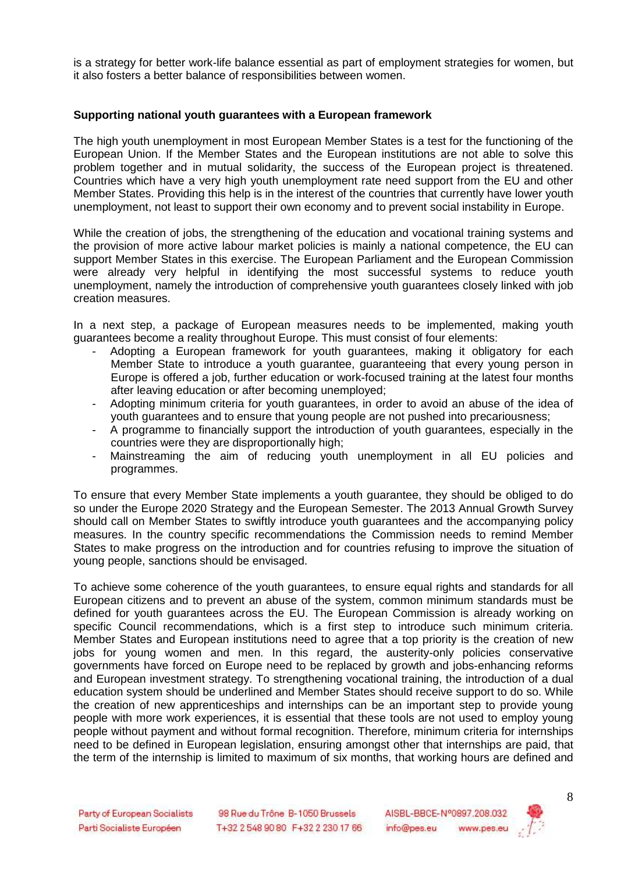is a strategy for better work-life balance essential as part of employment strategies for women, but it also fosters a better balance of responsibilities between women.

#### **Supporting national youth guarantees with a European framework**

The high youth unemployment in most European Member States is a test for the functioning of the European Union. If the Member States and the European institutions are not able to solve this problem together and in mutual solidarity, the success of the European project is threatened. Countries which have a very high youth unemployment rate need support from the EU and other Member States. Providing this help is in the interest of the countries that currently have lower youth unemployment, not least to support their own economy and to prevent social instability in Europe.

While the creation of jobs, the strengthening of the education and vocational training systems and the provision of more active labour market policies is mainly a national competence, the EU can support Member States in this exercise. The European Parliament and the European Commission were already very helpful in identifying the most successful systems to reduce youth unemployment, namely the introduction of comprehensive youth guarantees closely linked with job creation measures.

In a next step, a package of European measures needs to be implemented, making youth guarantees become a reality throughout Europe. This must consist of four elements:

- Adopting a European framework for youth guarantees, making it obligatory for each Member State to introduce a youth guarantee, guaranteeing that every young person in Europe is offered a job, further education or work-focused training at the latest four months after leaving education or after becoming unemployed;
- Adopting minimum criteria for youth guarantees, in order to avoid an abuse of the idea of youth guarantees and to ensure that young people are not pushed into precariousness;
- A programme to financially support the introduction of youth guarantees, especially in the countries were they are disproportionally high;
- Mainstreaming the aim of reducing youth unemployment in all EU policies and programmes.

To ensure that every Member State implements a youth guarantee, they should be obliged to do so under the Europe 2020 Strategy and the European Semester. The 2013 Annual Growth Survey should call on Member States to swiftly introduce youth guarantees and the accompanying policy measures. In the country specific recommendations the Commission needs to remind Member States to make progress on the introduction and for countries refusing to improve the situation of young people, sanctions should be envisaged.

To achieve some coherence of the youth guarantees, to ensure equal rights and standards for all European citizens and to prevent an abuse of the system, common minimum standards must be defined for youth guarantees across the EU. The European Commission is already working on specific Council recommendations, which is a first step to introduce such minimum criteria. Member States and European institutions need to agree that a top priority is the creation of new jobs for young women and men. In this regard, the austerity-only policies conservative governments have forced on Europe need to be replaced by growth and jobs-enhancing reforms and European investment strategy. To strengthening vocational training, the introduction of a dual education system should be underlined and Member States should receive support to do so. While the creation of new apprenticeships and internships can be an important step to provide young people with more work experiences, it is essential that these tools are not used to employ young people without payment and without formal recognition. Therefore, minimum criteria for internships need to be defined in European legislation, ensuring amongst other that internships are paid, that the term of the internship is limited to maximum of six months, that working hours are defined and

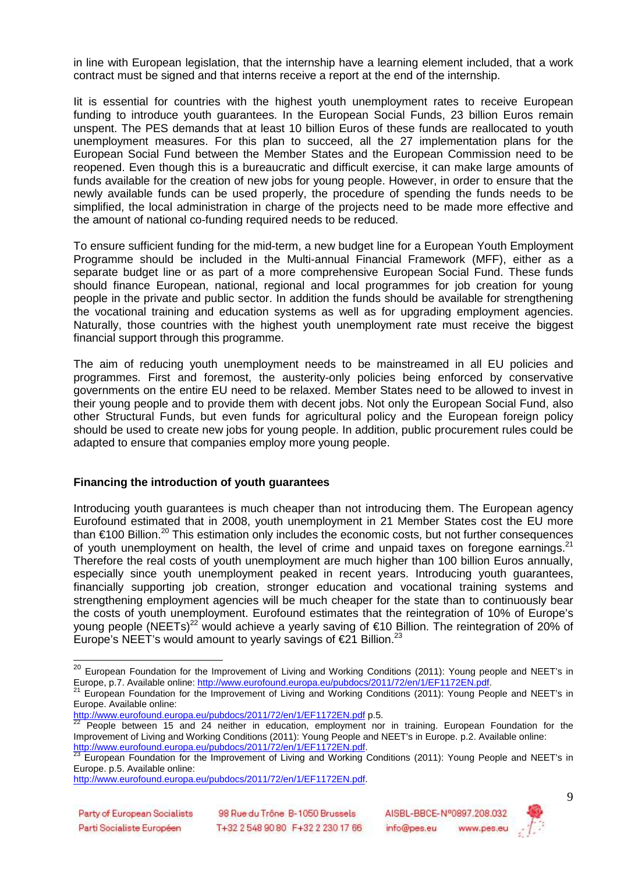in line with European legislation, that the internship have a learning element included, that a work contract must be signed and that interns receive a report at the end of the internship.

Iit is essential for countries with the highest youth unemployment rates to receive European funding to introduce youth guarantees. In the European Social Funds, 23 billion Euros remain unspent. The PES demands that at least 10 billion Euros of these funds are reallocated to youth unemployment measures. For this plan to succeed, all the 27 implementation plans for the European Social Fund between the Member States and the European Commission need to be reopened. Even though this is a bureaucratic and difficult exercise, it can make large amounts of funds available for the creation of new jobs for young people. However, in order to ensure that the newly available funds can be used properly, the procedure of spending the funds needs to be simplified, the local administration in charge of the projects need to be made more effective and the amount of national co-funding required needs to be reduced.

To ensure sufficient funding for the mid-term, a new budget line for a European Youth Employment Programme should be included in the Multi-annual Financial Framework (MFF), either as a separate budget line or as part of a more comprehensive European Social Fund. These funds should finance European, national, regional and local programmes for job creation for young people in the private and public sector. In addition the funds should be available for strengthening the vocational training and education systems as well as for upgrading employment agencies. Naturally, those countries with the highest youth unemployment rate must receive the biggest financial support through this programme.

The aim of reducing youth unemployment needs to be mainstreamed in all EU policies and programmes. First and foremost, the austerity-only policies being enforced by conservative governments on the entire EU need to be relaxed. Member States need to be allowed to invest in their young people and to provide them with decent jobs. Not only the European Social Fund, also other Structural Funds, but even funds for agricultural policy and the European foreign policy should be used to create new jobs for young people. In addition, public procurement rules could be adapted to ensure that companies employ more young people.

#### **Financing the introduction of youth guarantees**

Introducing youth guarantees is much cheaper than not introducing them. The European agency Eurofound estimated that in 2008, youth unemployment in 21 Member States cost the EU more than  $\epsilon$ 100 Billion.<sup>20</sup> This estimation only includes the economic costs, but not further consequences of youth unemployment on health, the level of crime and unpaid taxes on foregone earnings. $21$ Therefore the real costs of youth unemployment are much higher than 100 billion Euros annually, especially since youth unemployment peaked in recent years. Introducing youth guarantees, financially supporting job creation, stronger education and vocational training systems and strengthening employment agencies will be much cheaper for the state than to continuously bear the costs of youth unemployment. Eurofound estimates that the reintegration of 10% of Europe's young people (NEETs)<sup>22</sup> would achieve a yearly saving of €10 Billion. The reintegration of 20% of Europe's NEET's would amount to yearly savings of  $\epsilon$ 21 Billion.<sup>23</sup>

 $\overline{\phantom{a}}$ 



<sup>&</sup>lt;sup>20</sup> European Foundation for the Improvement of Living and Working Conditions (2011): Young people and NEET's in Europe, p.7. Available online: http://www.eurofound.europa.eu/pubdocs/2011/72/en/1/EF1172EN.pdf.<br>21 Transition of the state of the state of the state of the state of the state of the state of the state of the

<sup>21</sup> European Foundation for the Improvement of Living and Working Conditions (2011): Young People and NEET's in Europe. Available online: http://www.eurofound.europa.eu/pubdocs/2011/72/en/1/EF1172EN.pdf p.5.

People between 15 and 24 neither in education, employment nor in training. European Foundation for the Improvement of Living and Working Conditions (2011): Young People and NEET's in Europe. p.2. Available online: http://www.eurofound.europa.eu/pubdocs/2011/72/en/1/EF1172EN.pdf.

 $^{23}$  European Foundation for the Improvement of Living and Working Conditions (2011): Young People and NEET's in Europe. p.5. Available online:

http://www.eurofound.europa.eu/pubdocs/2011/72/en/1/EF1172EN.pdf.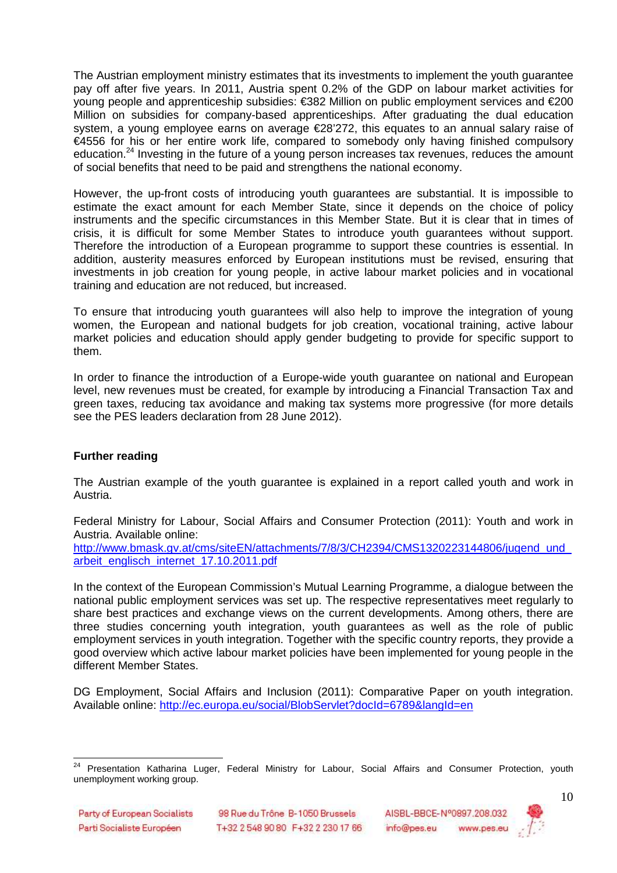The Austrian employment ministry estimates that its investments to implement the youth guarantee pay off after five years. In 2011, Austria spent 0.2% of the GDP on labour market activities for young people and apprenticeship subsidies: €382 Million on public employment services and €200 Million on subsidies for company-based apprenticeships. After graduating the dual education system, a young employee earns on average €28'272, this equates to an annual salary raise of €4556 for his or her entire work life, compared to somebody only having finished compulsory education.<sup>24</sup> Investing in the future of a young person increases tax revenues, reduces the amount of social benefits that need to be paid and strengthens the national economy.

However, the up-front costs of introducing youth guarantees are substantial. It is impossible to estimate the exact amount for each Member State, since it depends on the choice of policy instruments and the specific circumstances in this Member State. But it is clear that in times of crisis, it is difficult for some Member States to introduce youth guarantees without support. Therefore the introduction of a European programme to support these countries is essential. In addition, austerity measures enforced by European institutions must be revised, ensuring that investments in job creation for young people, in active labour market policies and in vocational training and education are not reduced, but increased.

To ensure that introducing youth guarantees will also help to improve the integration of young women, the European and national budgets for job creation, vocational training, active labour market policies and education should apply gender budgeting to provide for specific support to them.

In order to finance the introduction of a Europe-wide youth guarantee on national and European level, new revenues must be created, for example by introducing a Financial Transaction Tax and green taxes, reducing tax avoidance and making tax systems more progressive (for more details see the PES leaders declaration from 28 June 2012).

## **Further reading**

The Austrian example of the youth guarantee is explained in a report called youth and work in Austria.

Federal Ministry for Labour, Social Affairs and Consumer Protection (2011): Youth and work in Austria. Available online:

http://www.bmask.gv.at/cms/siteEN/attachments/7/8/3/CH2394/CMS1320223144806/jugend\_und arbeit\_englisch\_internet\_17.10.2011.pdf

In the context of the European Commission's Mutual Learning Programme, a dialogue between the national public employment services was set up. The respective representatives meet regularly to share best practices and exchange views on the current developments. Among others, there are three studies concerning youth integration, youth guarantees as well as the role of public employment services in youth integration. Together with the specific country reports, they provide a good overview which active labour market policies have been implemented for young people in the different Member States.

DG Employment, Social Affairs and Inclusion (2011): Comparative Paper on youth integration. Available online: http://ec.europa.eu/social/BlobServlet?docId=6789&langId=en



 <sup>24</sup> Presentation Katharina Luger, Federal Ministry for Labour, Social Affairs and Consumer Protection, youth unemployment working group.